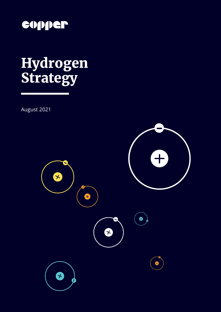

# Hydrogen Strategy

August 2021

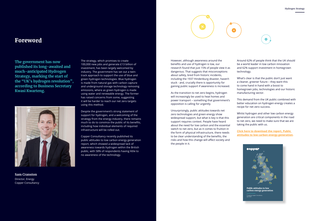

### Foreword

The strategy, which promises to create 100,000 new jobs and generate £13 billion of investment, has been largely welcomed by industry. The government has set out a twintrack approach to support the use of blue and green hydrogen technologies. Blue hydrogen is made from natural gas with carbon capture and underground storage technology removing emissions, where as green hydrogen is made using water and renewable energy. The former has raised concerns from some, suggesting it will be harder to reach our net zero targets using this method.

Despite the government's strong statement of support for hydrogen, and a welcoming of the strategy from the energy industry, there remains much to do to convince the public of its benefits, including how individual elements of required infrastructure will be rolled out.

Copper Consultancy recently published its public attitudes to low carbon energy generation report, which showed a widespread lack of awareness towards hydrogen within the British public, with 58% of respondents having little to no awareness of the technology.

**The government has now published its long-awaited and much-anticipated Hydrogen Strategy, marking the start of the "UK's hydrogen revolution", according to Business Secretary Kwasi Kwarteng.**



However, although awareness around the benefits and use of hydrogen is low, our research found that just 15% of people view it as dangerous. That suggests that misconceptions about safety, bred from historic incidents, including the 1937 Hindenburg disaster, haven't stuck - and, crucially there is opportunity for gaining public support if awareness is increased.

As the transition to net zero begins, hydrogen will increasingly be used to heat homes and power transport – something that government's opposition is calling for urgently.

Unsurprisingly, public attitudes towards net zero technologies and green energy show widespread support, but what is key is that this support requires context. People have heard about the need for low carbon and the essential switch to net zero, but as it comes to fruition in the form of physical infrastructure, there needs to be clear understanding of the benefits, the risks and how this change will affect society and the people in it.

Around 62% of people think that the UK should be a world leader in low carbon innovation and 62% support investment in homegrown technology.

What's clear is that the public don't just want a cleaner, greener future – they want this to come hand in hand with a boost to homegrown jobs, technologies and our historic manufacturing sector.

This demand from the UK public combined with better education on hydrogen energy creates a recipe for net zero success.

Whilst hydrogen and other low carbon energy generation are critical components in the road to net zero, we need to make sure that we are taking the public with us.

**[Click here to download the report, Public](https://www.copperconsultancy.com/wp-content/uploads/2021/06/low-carbon-energy-generation-report.final_.pdf)  [attitudes to low carbon energy generation.](https://www.copperconsultancy.com/wp-content/uploads/2021/06/low-carbon-energy-generation-report.final_.pdf)** 

**Sam Cranston** Director, Energy Copper Consultancy

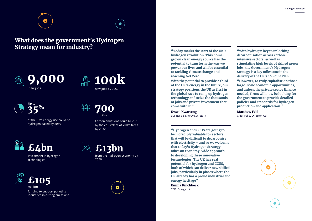### "With hydrogen key to unlocking decarbonisation across carbonintensive sectors, as well as stimulating high levels of skilled green jobs, the Government's Hydrogen Strategy is a key milestone in the delivery of the UK's 10 Point Plan. "However, to truly capitalise on those large-scale economic opportunities, and unlock the private sector finance needed, firms will now be looking for the government to provide detailed policies and standards for hydrogen production and application."

of the UK's energy use could be hydrogen based by 2050

## What does the government's Hydrogen Strategy mean for industry?<br>
"Today marks the start of the UK's



#### Matthew Fell

Chief Policy Director, CBI





£105 million funding to support polluting

industries in cutting emissions



Carbon emissions could be cut by the equivalent of 700m trees by 2032

£4bn

700 trees

100k  $\begin{array}{c}\n\oplus \\
\hline\n\end{array}$ new jobs by 2050



investment in hydrogen technologies

from the hydrogen economy by 2050

hydrogen revolution. This homegrown clean energy source has the potential to transform the way we power our lives and will be essential to tackling climate change and reaching Net Zero.

With the potential to provide a third of the UK's energy in the future, our strategy positions the UK as first in the global race to ramp up hydrogen technology and seize the thousands of jobs and private investment that come with it."

Kwasi Kwarteng Business & Energy Secretary

"Hydrogen and CCUS are going to be incredibly valuable for sectors that will be difficult to decarbonise with electricity – and so we welcome that today's Hydrogen Strategy takes an economy-wide approach to developing these innovative technologies. The UK has real potential for hydrogen and CCUS, both of which can deliver new skilled jobs, particularly in places where the UK already has a proud industrial and energy heritage"

Emma Pinchbeck CEO, Energy UK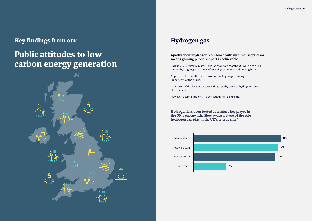### Key findings from our

## Public attitudes to low carbon energy generation



#### **Apathy about hydrogen, combined with minimal scepticism means gaining public support is achievable**

Back in 2020, Prime Minister Boris Johnson said that the UK will place a "big bet" on hydrogen gas as a way of reducing emissions and heating homes.

At present there is little or no awareness of hydrogen amongst 58 per cent of the public.

As a result of this lack of understanding, apathy towards hydrogen stands at 51 per cent.

However, despite this, only 15 per cent thinks it is unsafe.

### Hydrogen gas

**Hydrogen has been touted as a future key player in the UK's energy mix. How aware are you of the role hydrogen can play in the UK's energy mix?**

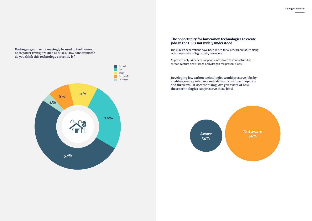**Hydrogen gas may increasingly be used to fuel homes, or to power transport such as buses. How safe or unsafe do you think this technology currently is?**



#### **The opportunity for low carbon technologies to create jobs in the UK is not widely understood**

The public's expectations have been raised for a low carbon future along with the promise of high quality green jobs.

> Not aware Aware Nucleon Aware 66%

At present only 34 per cent of people are aware that industries like carbon capture and storage or hydrogen will preserve jobs.

**Developing low carbon technologies would preserve jobs by enabling energy intensive industries to continue to operate and thrive whilst decarbonising. Are you aware of how these technologies can preserve these jobs?**

34%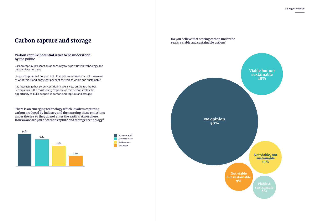Hydrogen Strategy

#### **Carbon capture potential is yet to be understood by the public**

Carbon capture presents an opportunity to export British technology and help achieve net zero.

Despite its potential, 57 per cent of people are unaware or not too aware of what this is and only eight per cent see this as viable and sustainable.

It is interesting that 50 per cent don't have a view on the technology. Perhaps this is the most telling response as this demonstrates the opportunity to build support in carbon and capture and storage.

### Carbon capture and storage

**There is an emerging technology which involves capturing carbon produced by industry and then storing these emissions under the sea so they do not enter the earth's atmosphere. How aware are you of carbon capture and storage technology?**



Not aware at all Not too aware Somewhat aware Very aware

**Do you believe that storing carbon under the sea is a viable and sustainable option?**

> Viable & sustainable 8%

No opinion 50%



Not viable, not sustainable 15%

Not viable but sustainable 9%